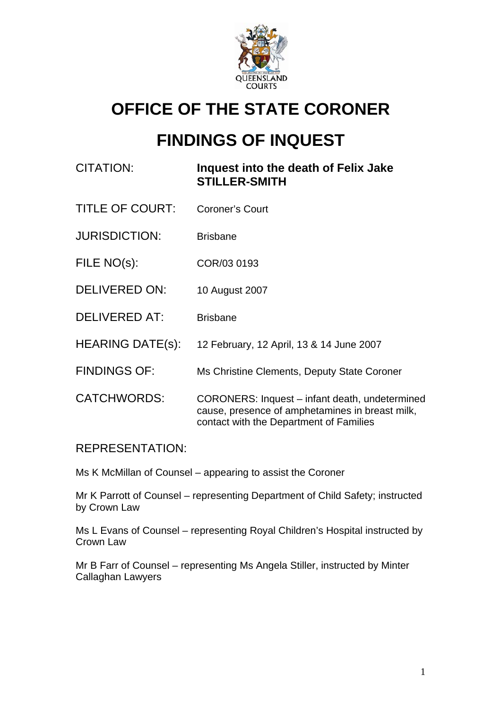

# **OFFICE OF THE STATE CORONER**

# **FINDINGS OF INQUEST**

# CITATION: **Inquest into the death of Felix Jake STILLER-SMITH**

- TITLE OF COURT: Coroner's Court
- JURISDICTION: Brisbane
- FILE NO(s): COR/03 0193
- DELIVERED ON: 10 August 2007
- DELIVERED AT: Brisbane
- HEARING DATE(s): 12 February, 12 April, 13 & 14 June 2007
- FINDINGS OF: Ms Christine Clements, Deputy State Coroner
- CATCHWORDS: CORONERS: Inquest infant death, undetermined cause, presence of amphetamines in breast milk, contact with the Department of Families

## REPRESENTATION:

Ms K McMillan of Counsel – appearing to assist the Coroner

Mr K Parrott of Counsel – representing Department of Child Safety; instructed by Crown Law

Ms L Evans of Counsel – representing Royal Children's Hospital instructed by Crown Law

Mr B Farr of Counsel – representing Ms Angela Stiller, instructed by Minter Callaghan Lawyers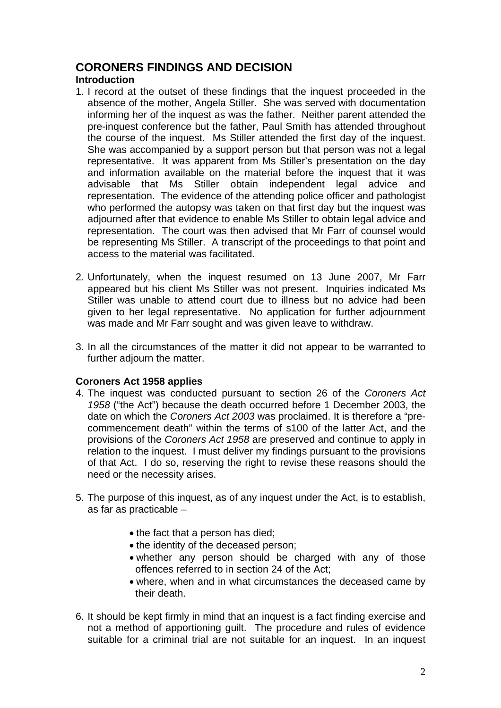# **CORONERS FINDINGS AND DECISION**

## **Introduction**

- 1. I record at the outset of these findings that the inquest proceeded in the absence of the mother, Angela Stiller. She was served with documentation informing her of the inquest as was the father. Neither parent attended the pre-inquest conference but the father, Paul Smith has attended throughout the course of the inquest. Ms Stiller attended the first day of the inquest. She was accompanied by a support person but that person was not a legal representative. It was apparent from Ms Stiller's presentation on the day and information available on the material before the inquest that it was advisable that Ms Stiller obtain independent legal advice and representation. The evidence of the attending police officer and pathologist who performed the autopsy was taken on that first day but the inquest was adjourned after that evidence to enable Ms Stiller to obtain legal advice and representation. The court was then advised that Mr Farr of counsel would be representing Ms Stiller. A transcript of the proceedings to that point and access to the material was facilitated.
- 2. Unfortunately, when the inquest resumed on 13 June 2007, Mr Farr appeared but his client Ms Stiller was not present. Inquiries indicated Ms Stiller was unable to attend court due to illness but no advice had been given to her legal representative. No application for further adjournment was made and Mr Farr sought and was given leave to withdraw.
- 3. In all the circumstances of the matter it did not appear to be warranted to further adjourn the matter.

### **Coroners Act 1958 applies**

- 4. The inquest was conducted pursuant to section 26 of the *Coroners Act 1958* ("the Act") because the death occurred before 1 December 2003, the date on which the *Coroners Act 2003* was proclaimed. It is therefore a "precommencement death" within the terms of s100 of the latter Act, and the provisions of the *Coroners Act 1958* are preserved and continue to apply in relation to the inquest.I must deliver my findings pursuant to the provisions of that Act. I do so, reserving the right to revise these reasons should the need or the necessity arises.
- 5. The purpose of this inquest, as of any inquest under the Act, is to establish, as far as practicable –
	- the fact that a person has died;
	- the identity of the deceased person;
	- whether any person should be charged with any of those offences referred to in section 24 of the Act;
	- where, when and in what circumstances the deceased came by their death.
- 6. It should be kept firmly in mind that an inquest is a fact finding exercise and not a method of apportioning guilt. The procedure and rules of evidence suitable for a criminal trial are not suitable for an inquest. In an inquest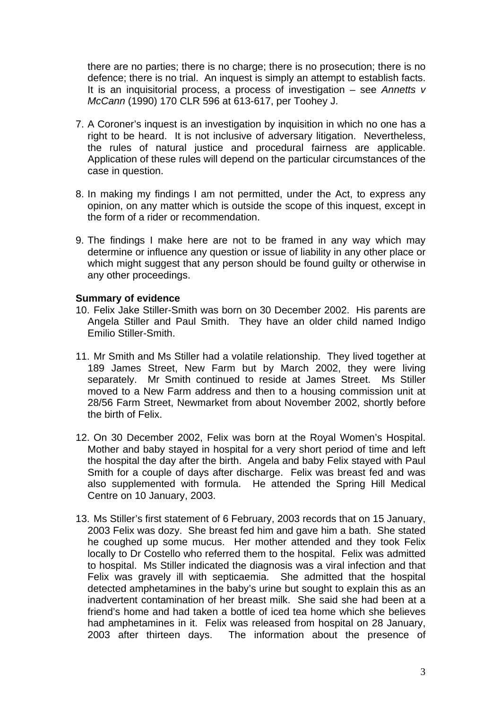there are no parties; there is no charge; there is no prosecution; there is no defence; there is no trial. An inquest is simply an attempt to establish facts. It is an inquisitorial process, a process of investigation – see *Annetts v McCann* (1990) 170 CLR 596 at 613-617, per Toohey J.

- 7. A Coroner's inquest is an investigation by inquisition in which no one has a right to be heard. It is not inclusive of adversary litigation. Nevertheless, the rules of natural justice and procedural fairness are applicable. Application of these rules will depend on the particular circumstances of the case in question.
- 8. In making my findings I am not permitted, under the Act, to express any opinion, on any matter which is outside the scope of this inquest, except in the form of a rider or recommendation.
- 9. The findings I make here are not to be framed in any way which may determine or influence any question or issue of liability in any other place or which might suggest that any person should be found guilty or otherwise in any other proceedings.

#### **Summary of evidence**

- 10. Felix Jake Stiller-Smith was born on 30 December 2002. His parents are Angela Stiller and Paul Smith. They have an older child named Indigo Emilio Stiller-Smith.
- 11. Mr Smith and Ms Stiller had a volatile relationship. They lived together at 189 James Street, New Farm but by March 2002, they were living separately. Mr Smith continued to reside at James Street. Ms Stiller moved to a New Farm address and then to a housing commission unit at 28/56 Farm Street, Newmarket from about November 2002, shortly before the birth of Felix.
- 12. On 30 December 2002, Felix was born at the Royal Women's Hospital. Mother and baby stayed in hospital for a very short period of time and left the hospital the day after the birth. Angela and baby Felix stayed with Paul Smith for a couple of days after discharge. Felix was breast fed and was also supplemented with formula. He attended the Spring Hill Medical Centre on 10 January, 2003.
- 13. Ms Stiller's first statement of 6 February, 2003 records that on 15 January, 2003 Felix was dozy. She breast fed him and gave him a bath. She stated he coughed up some mucus. Her mother attended and they took Felix locally to Dr Costello who referred them to the hospital. Felix was admitted to hospital. Ms Stiller indicated the diagnosis was a viral infection and that Felix was gravely ill with septicaemia. She admitted that the hospital detected amphetamines in the baby's urine but sought to explain this as an inadvertent contamination of her breast milk. She said she had been at a friend's home and had taken a bottle of iced tea home which she believes had amphetamines in it. Felix was released from hospital on 28 January, 2003 after thirteen days. The information about the presence of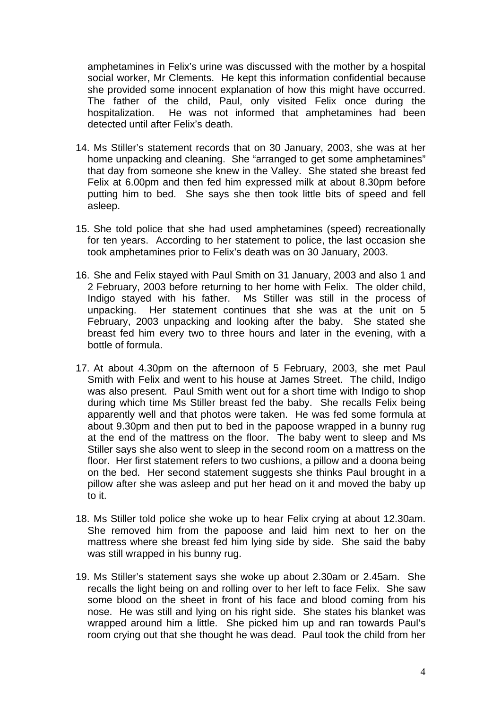amphetamines in Felix's urine was discussed with the mother by a hospital social worker, Mr Clements. He kept this information confidential because she provided some innocent explanation of how this might have occurred. The father of the child, Paul, only visited Felix once during the hospitalization. He was not informed that amphetamines had been detected until after Felix's death.

- 14. Ms Stiller's statement records that on 30 January, 2003, she was at her home unpacking and cleaning. She "arranged to get some amphetamines" that day from someone she knew in the Valley. She stated she breast fed Felix at 6.00pm and then fed him expressed milk at about 8.30pm before putting him to bed. She says she then took little bits of speed and fell asleep.
- 15. She told police that she had used amphetamines (speed) recreationally for ten years. According to her statement to police, the last occasion she took amphetamines prior to Felix's death was on 30 January, 2003.
- 16. She and Felix stayed with Paul Smith on 31 January, 2003 and also 1 and 2 February, 2003 before returning to her home with Felix. The older child, Indigo stayed with his father. Ms Stiller was still in the process of unpacking. Her statement continues that she was at the unit on 5 February, 2003 unpacking and looking after the baby. She stated she breast fed him every two to three hours and later in the evening, with a bottle of formula.
- 17. At about 4.30pm on the afternoon of 5 February, 2003, she met Paul Smith with Felix and went to his house at James Street. The child, Indigo was also present. Paul Smith went out for a short time with Indigo to shop during which time Ms Stiller breast fed the baby. She recalls Felix being apparently well and that photos were taken. He was fed some formula at about 9.30pm and then put to bed in the papoose wrapped in a bunny rug at the end of the mattress on the floor. The baby went to sleep and Ms Stiller says she also went to sleep in the second room on a mattress on the floor. Her first statement refers to two cushions, a pillow and a doona being on the bed. Her second statement suggests she thinks Paul brought in a pillow after she was asleep and put her head on it and moved the baby up to it.
- 18. Ms Stiller told police she woke up to hear Felix crying at about 12.30am. She removed him from the papoose and laid him next to her on the mattress where she breast fed him lying side by side. She said the baby was still wrapped in his bunny rug.
- 19. Ms Stiller's statement says she woke up about 2.30am or 2.45am. She recalls the light being on and rolling over to her left to face Felix. She saw some blood on the sheet in front of his face and blood coming from his nose. He was still and lying on his right side. She states his blanket was wrapped around him a little. She picked him up and ran towards Paul's room crying out that she thought he was dead. Paul took the child from her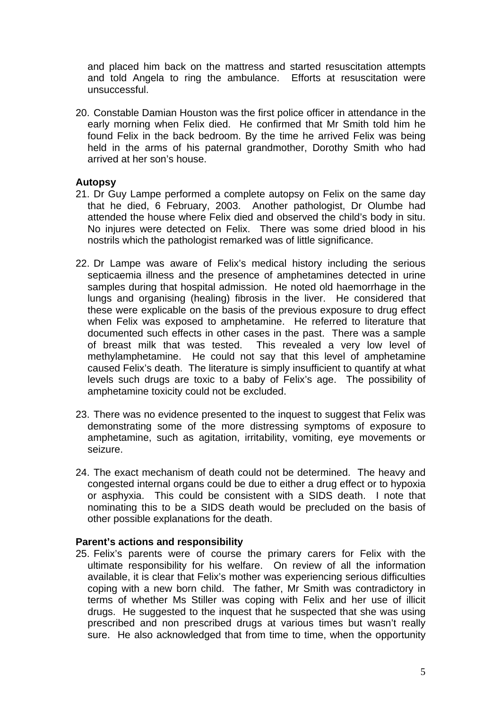and placed him back on the mattress and started resuscitation attempts and told Angela to ring the ambulance. Efforts at resuscitation were unsuccessful.

20. Constable Damian Houston was the first police officer in attendance in the early morning when Felix died. He confirmed that Mr Smith told him he found Felix in the back bedroom. By the time he arrived Felix was being held in the arms of his paternal grandmother, Dorothy Smith who had arrived at her son's house.

### **Autopsy**

- 21. Dr Guy Lampe performed a complete autopsy on Felix on the same day that he died, 6 February, 2003. Another pathologist, Dr Olumbe had attended the house where Felix died and observed the child's body in situ. No injures were detected on Felix. There was some dried blood in his nostrils which the pathologist remarked was of little significance.
- 22. Dr Lampe was aware of Felix's medical history including the serious septicaemia illness and the presence of amphetamines detected in urine samples during that hospital admission. He noted old haemorrhage in the lungs and organising (healing) fibrosis in the liver. He considered that these were explicable on the basis of the previous exposure to drug effect when Felix was exposed to amphetamine. He referred to literature that documented such effects in other cases in the past. There was a sample of breast milk that was tested. This revealed a very low level of methylamphetamine. He could not say that this level of amphetamine caused Felix's death. The literature is simply insufficient to quantify at what levels such drugs are toxic to a baby of Felix's age. The possibility of amphetamine toxicity could not be excluded.
- 23. There was no evidence presented to the inquest to suggest that Felix was demonstrating some of the more distressing symptoms of exposure to amphetamine, such as agitation, irritability, vomiting, eye movements or seizure.
- 24. The exact mechanism of death could not be determined. The heavy and congested internal organs could be due to either a drug effect or to hypoxia or asphyxia. This could be consistent with a SIDS death. I note that nominating this to be a SIDS death would be precluded on the basis of other possible explanations for the death.

#### **Parent's actions and responsibility**

25. Felix's parents were of course the primary carers for Felix with the ultimate responsibility for his welfare. On review of all the information available, it is clear that Felix's mother was experiencing serious difficulties coping with a new born child. The father, Mr Smith was contradictory in terms of whether Ms Stiller was coping with Felix and her use of illicit drugs. He suggested to the inquest that he suspected that she was using prescribed and non prescribed drugs at various times but wasn't really sure. He also acknowledged that from time to time, when the opportunity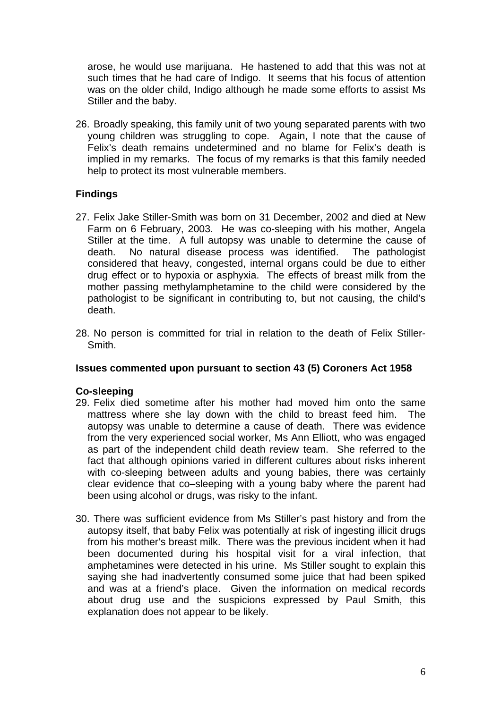arose, he would use marijuana. He hastened to add that this was not at such times that he had care of Indigo. It seems that his focus of attention was on the older child, Indigo although he made some efforts to assist Ms Stiller and the baby.

26. Broadly speaking, this family unit of two young separated parents with two young children was struggling to cope. Again, I note that the cause of Felix's death remains undetermined and no blame for Felix's death is implied in my remarks. The focus of my remarks is that this family needed help to protect its most vulnerable members.

## **Findings**

- 27. Felix Jake Stiller-Smith was born on 31 December, 2002 and died at New Farm on 6 February, 2003. He was co-sleeping with his mother, Angela Stiller at the time. A full autopsy was unable to determine the cause of death. No natural disease process was identified. The pathologist considered that heavy, congested, internal organs could be due to either drug effect or to hypoxia or asphyxia. The effects of breast milk from the mother passing methylamphetamine to the child were considered by the pathologist to be significant in contributing to, but not causing, the child's death.
- 28. No person is committed for trial in relation to the death of Felix Stiller-Smith.

#### **Issues commented upon pursuant to section 43 (5) Coroners Act 1958**

#### **Co-sleeping**

- 29. Felix died sometime after his mother had moved him onto the same mattress where she lay down with the child to breast feed him. The autopsy was unable to determine a cause of death. There was evidence from the very experienced social worker, Ms Ann Elliott, who was engaged as part of the independent child death review team. She referred to the fact that although opinions varied in different cultures about risks inherent with co-sleeping between adults and young babies, there was certainly clear evidence that co–sleeping with a young baby where the parent had been using alcohol or drugs, was risky to the infant.
- 30. There was sufficient evidence from Ms Stiller's past history and from the autopsy itself, that baby Felix was potentially at risk of ingesting illicit drugs from his mother's breast milk. There was the previous incident when it had been documented during his hospital visit for a viral infection, that amphetamines were detected in his urine. Ms Stiller sought to explain this saying she had inadvertently consumed some juice that had been spiked and was at a friend's place. Given the information on medical records about drug use and the suspicions expressed by Paul Smith, this explanation does not appear to be likely.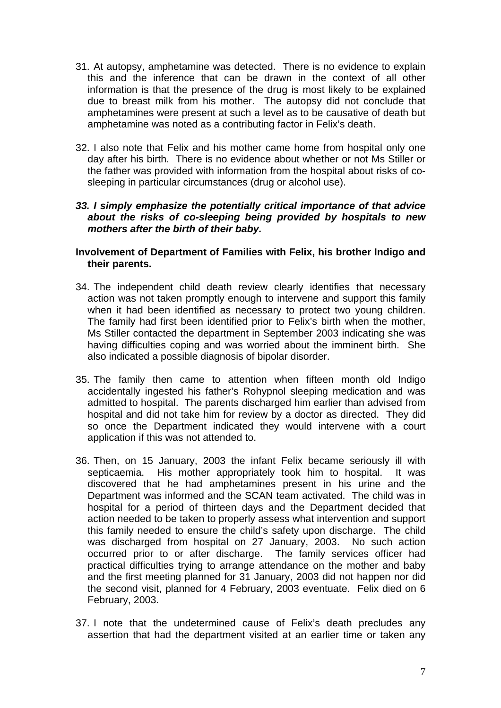- 31. At autopsy, amphetamine was detected. There is no evidence to explain this and the inference that can be drawn in the context of all other information is that the presence of the drug is most likely to be explained due to breast milk from his mother. The autopsy did not conclude that amphetamines were present at such a level as to be causative of death but amphetamine was noted as a contributing factor in Felix's death.
- 32. I also note that Felix and his mother came home from hospital only one day after his birth. There is no evidence about whether or not Ms Stiller or the father was provided with information from the hospital about risks of cosleeping in particular circumstances (drug or alcohol use).

### *33. I simply emphasize the potentially critical importance of that advice about the risks of co-sleeping being provided by hospitals to new mothers after the birth of their baby.*

#### **Involvement of Department of Families with Felix, his brother Indigo and their parents.**

- 34. The independent child death review clearly identifies that necessary action was not taken promptly enough to intervene and support this family when it had been identified as necessary to protect two young children. The family had first been identified prior to Felix's birth when the mother, Ms Stiller contacted the department in September 2003 indicating she was having difficulties coping and was worried about the imminent birth. She also indicated a possible diagnosis of bipolar disorder.
- 35. The family then came to attention when fifteen month old Indigo accidentally ingested his father's Rohypnol sleeping medication and was admitted to hospital. The parents discharged him earlier than advised from hospital and did not take him for review by a doctor as directed. They did so once the Department indicated they would intervene with a court application if this was not attended to.
- 36. Then, on 15 January, 2003 the infant Felix became seriously ill with septicaemia. His mother appropriately took him to hospital. It was discovered that he had amphetamines present in his urine and the Department was informed and the SCAN team activated. The child was in hospital for a period of thirteen days and the Department decided that action needed to be taken to properly assess what intervention and support this family needed to ensure the child's safety upon discharge. The child was discharged from hospital on 27 January, 2003. No such action occurred prior to or after discharge. The family services officer had practical difficulties trying to arrange attendance on the mother and baby and the first meeting planned for 31 January, 2003 did not happen nor did the second visit, planned for 4 February, 2003 eventuate. Felix died on 6 February, 2003.
- 37. I note that the undetermined cause of Felix's death precludes any assertion that had the department visited at an earlier time or taken any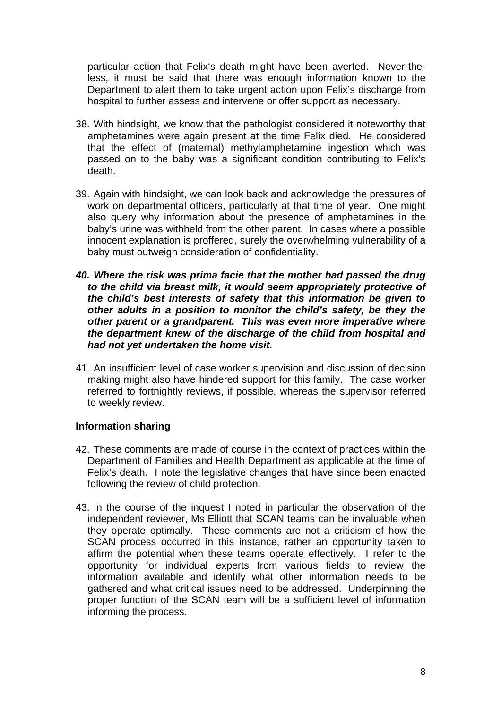particular action that Felix's death might have been averted. Never-theless, it must be said that there was enough information known to the Department to alert them to take urgent action upon Felix's discharge from hospital to further assess and intervene or offer support as necessary.

- 38. With hindsight, we know that the pathologist considered it noteworthy that amphetamines were again present at the time Felix died. He considered that the effect of (maternal) methylamphetamine ingestion which was passed on to the baby was a significant condition contributing to Felix's death.
- 39. Again with hindsight, we can look back and acknowledge the pressures of work on departmental officers, particularly at that time of year. One might also query why information about the presence of amphetamines in the baby's urine was withheld from the other parent. In cases where a possible innocent explanation is proffered, surely the overwhelming vulnerability of a baby must outweigh consideration of confidentiality.
- *40. Where the risk was prima facie that the mother had passed the drug to the child via breast milk, it would seem appropriately protective of the child's best interests of safety that this information be given to other adults in a position to monitor the child's safety, be they the other parent or a grandparent. This was even more imperative where the department knew of the discharge of the child from hospital and had not yet undertaken the home visit.*
- 41. An insufficient level of case worker supervision and discussion of decision making might also have hindered support for this family. The case worker referred to fortnightly reviews, if possible, whereas the supervisor referred to weekly review.

### **Information sharing**

- 42. These comments are made of course in the context of practices within the Department of Families and Health Department as applicable at the time of Felix's death. I note the legislative changes that have since been enacted following the review of child protection.
- 43. In the course of the inquest I noted in particular the observation of the independent reviewer, Ms Elliott that SCAN teams can be invaluable when they operate optimally. These comments are not a criticism of how the SCAN process occurred in this instance, rather an opportunity taken to affirm the potential when these teams operate effectively. I refer to the opportunity for individual experts from various fields to review the information available and identify what other information needs to be gathered and what critical issues need to be addressed. Underpinning the proper function of the SCAN team will be a sufficient level of information informing the process.